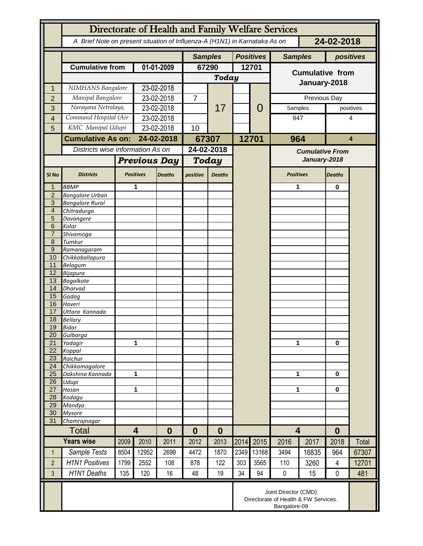|                     | Directorate of Health and Family Welfare Services                                        |                     |                                   |            |                |               |       |                  |                         |                                   |                |           |
|---------------------|------------------------------------------------------------------------------------------|---------------------|-----------------------------------|------------|----------------|---------------|-------|------------------|-------------------------|-----------------------------------|----------------|-----------|
|                     | A Brief Note on present situation of Influenza-A (H1N1) in Karnataka As on<br>24-02-2018 |                     |                                   |            |                |               |       |                  |                         |                                   |                |           |
|                     |                                                                                          |                     |                                   |            | <b>Samples</b> |               |       | <b>Positives</b> | <b>Samples</b>          |                                   |                | positives |
|                     | <b>Cumulative from</b>                                                                   |                     | 01-01-2009                        |            | 67290          |               | 12701 |                  |                         |                                   |                |           |
|                     |                                                                                          |                     |                                   |            |                | <b>Today</b>  |       |                  | <b>Cumulative from</b>  |                                   |                |           |
| 1                   | NIMHANS Bangalore                                                                        |                     | 23-02-2018                        |            |                |               |       |                  | January-2018            |                                   |                |           |
| $\overline{2}$      | Manipal Bangalore                                                                        |                     | 23-02-2018                        |            | $\overline{7}$ |               |       | 0                |                         | Previous Day                      |                |           |
| 3                   | Narayana Netralaya,                                                                      |                     | 23-02-2018                        |            |                | 17            |       |                  | Samples                 |                                   |                | positives |
| 4                   | Command Hospital (Air                                                                    |                     | 23-02-2018                        |            |                |               |       |                  | 947                     |                                   | 4              |           |
| 5                   |                                                                                          | KMC Manipal Udupi   |                                   | 23-02-2018 |                |               |       |                  |                         |                                   |                |           |
|                     | <b>Cumulative As on:</b>                                                                 |                     | 24-02-2018                        |            | 67307          |               |       | 12701            | 964                     |                                   | 4              |           |
|                     | Districts wise information As on                                                         |                     |                                   |            | 24-02-2018     |               |       |                  | <b>Cumulative From</b>  |                                   |                |           |
|                     |                                                                                          | <b>Previous Day</b> |                                   | Today      |                | January-2018  |       |                  |                         |                                   |                |           |
| SI <sub>No</sub>    | <b>Districts</b>                                                                         |                     | <b>Positives</b><br><b>Deaths</b> |            | positive       | <b>Deaths</b> |       |                  |                         | <b>Positives</b><br><b>Deaths</b> |                |           |
| 1                   | <b>BBMP</b>                                                                              |                     | 1                                 |            |                |               |       |                  | 1                       |                                   | 0              |           |
| $\overline{2}$      | <b>Bangalore Urban</b>                                                                   |                     |                                   |            |                |               |       |                  |                         |                                   |                |           |
| 3                   | <b>Bangalore Rural</b>                                                                   |                     |                                   |            |                |               |       |                  |                         |                                   |                |           |
| $\overline{4}$      | Chitradurga                                                                              |                     |                                   |            |                |               |       |                  |                         |                                   |                |           |
| 5                   | Davangere                                                                                |                     |                                   |            |                |               |       |                  |                         |                                   |                |           |
| 6<br>$\overline{7}$ | Kolar<br>Shivamoga                                                                       |                     |                                   |            |                |               |       |                  |                         |                                   |                |           |
| 8                   | Tumkur                                                                                   |                     |                                   |            |                |               |       |                  |                         |                                   |                |           |
| $9\,$               | Ramanagaram                                                                              |                     |                                   |            |                |               |       |                  |                         |                                   |                |           |
| 10                  | Chikkaballapura                                                                          |                     |                                   |            |                |               |       |                  |                         |                                   |                |           |
| 11                  | <b>Belagum</b>                                                                           |                     |                                   |            |                |               |       |                  |                         |                                   |                |           |
| 12<br>13            | Bijapura                                                                                 |                     |                                   |            |                |               |       |                  |                         |                                   |                |           |
| 14                  | <b>Bagalkote</b><br>Dharvad                                                              |                     |                                   |            |                |               |       |                  |                         |                                   |                |           |
| 15                  | Gadag                                                                                    |                     |                                   |            |                |               |       |                  |                         |                                   |                |           |
| 16                  | Haveri                                                                                   |                     |                                   |            |                |               |       |                  |                         |                                   |                |           |
| 17                  | Uttara Kannada                                                                           |                     |                                   |            |                |               |       |                  |                         |                                   |                |           |
| 18                  | <b>Bellary</b>                                                                           |                     |                                   |            |                |               |       |                  |                         |                                   |                |           |
| 19<br>20            | Bidar<br>Gulbarga                                                                        |                     |                                   |            |                |               |       |                  |                         |                                   |                |           |
| 21                  | Yadagir                                                                                  |                     | 1                                 |            |                |               |       |                  | 1                       |                                   | $\bf{0}$       |           |
| 22                  | Koppal                                                                                   |                     |                                   |            |                |               |       |                  |                         |                                   |                |           |
| 23                  | Raichur                                                                                  |                     |                                   |            |                |               |       |                  |                         |                                   |                |           |
| 24                  | Chikkamagalore                                                                           |                     |                                   |            |                |               |       |                  |                         |                                   | 0              |           |
| 25<br>26            | Dakshina Kannada<br>Udupi                                                                | 1                   |                                   |            |                |               |       |                  |                         | 1                                 |                |           |
| 27                  | Hasan                                                                                    | 1                   |                                   |            |                |               |       |                  | 1                       |                                   | 0              |           |
| 28                  | Kodagu                                                                                   |                     |                                   |            |                |               |       |                  |                         |                                   |                |           |
| 29                  | Mandya                                                                                   |                     |                                   |            |                |               |       |                  |                         |                                   |                |           |
| 30                  | <b>Mysore</b>                                                                            |                     |                                   |            |                |               |       |                  |                         |                                   |                |           |
| 31                  | Chamrajnagar                                                                             |                     | $\overline{\mathbf{4}}$           |            |                |               |       |                  |                         |                                   |                |           |
|                     | <b>Total</b>                                                                             |                     | $\bf{0}$                          |            | 0              | $\bf{0}$      |       |                  | $\overline{\mathbf{4}}$ |                                   | $\bf{0}$       |           |
|                     | <b>Years wise</b>                                                                        | 2009                | 2010                              | 2011       | 2012           | 2013          | 2014  | 2015             | 2016                    | 2017                              | 2018           | Total     |
| $\mathbf{1}$        | Sample Tests                                                                             | 8504                | 12952                             | 2699       | 4472           | 1870          | 2349  | 13168            | 3494                    | 16835                             | 964            | 67307     |
| $\overline{2}$      | <b>H1N1 Positives</b>                                                                    | 1799                | 2552                              | 108        | 878            | 122           | 303   | 3565             | 110                     | 3260                              | $\overline{4}$ | 12701     |
| $\overline{3}$      | <b>H1N1 Deaths</b>                                                                       | 135                 | 120                               | 16         | 48             | 19            | 34    | 94               | $\pmb{0}$               | 15                                | 0              | 481       |
|                     | Joint Director (CMD)<br>Directorate of Health & FW Services.<br>Bangalore-09             |                     |                                   |            |                |               |       |                  |                         |                                   |                |           |